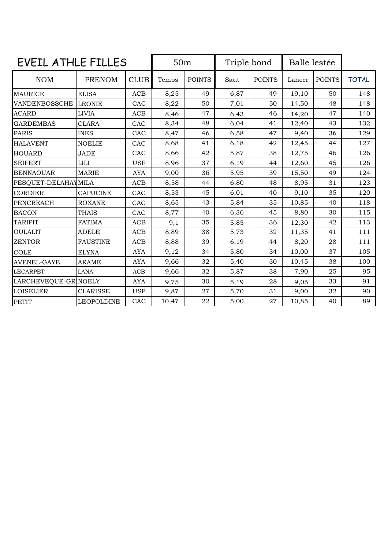| EVEIL ATHLE FILLES   |                   |             | 50 <sub>m</sub> |               | Triple bond |               | Balle lestée |               |              |
|----------------------|-------------------|-------------|-----------------|---------------|-------------|---------------|--------------|---------------|--------------|
| <b>NOM</b>           | <b>PRENOM</b>     | <b>CLUB</b> | Temps           | <b>POINTS</b> | Saut        | <b>POINTS</b> | Lancer       | <b>POINTS</b> | <b>TOTAL</b> |
| <b>MAURICE</b>       | <b>ELISA</b>      | ACB         | 8,25            | 49            | 6,87        | 49            | 19,10        | 50            | 148          |
| VANDENBOSSCHE        | <b>LEONIE</b>     | CAC         | 8,22            | 50            | 7,01        | 50            | 14,50        | 48            | 148          |
| <b>ACARD</b>         | <b>LIVIA</b>      | ACB         | 8,46            | 47            | 6,43        | 46            | 14,20        | 47            | 140          |
| <b>GARDEMBAS</b>     | <b>CLARA</b>      | CAC         | 8,34            | 48            | 6,04        | 41            | 12,40        | 43            | 132          |
| <b>PARIS</b>         | <b>INES</b>       | CAC         | 8,47            | 46            | 6,58        | 47            | 9,40         | 36            | 129          |
| <b>HALAVENT</b>      | <b>NOELIE</b>     | CAC         | 8,68            | 41            | 6,18        | 42            | 12,45        | 44            | 127          |
| <b>HOUARD</b>        | <b>JADE</b>       | CAC         | 8,66            | 42            | 5,87        | 38            | 12,75        | 46            | 126          |
| <b>SEIFERT</b>       | LILI              | <b>USF</b>  | 8,96            | 37            | 6,19        | 44            | 12,60        | 45            | 126          |
| <b>BENNAOUAR</b>     | <b>MARIE</b>      | <b>AYA</b>  | 9,00            | 36            | 5,95        | 39            | 15,50        | 49            | 124          |
| PESQUET-DELAHAYMILA  |                   | ACB         | 8,58            | 44            | 6,80        | 48            | 8,95         | 31            | 123          |
| <b>CORDIER</b>       | <b>CAPUCINE</b>   | CAC         | 8,53            | 45            | 6,01        | 40            | 9,10         | 35            | 120          |
| <b>PENCREACH</b>     | <b>ROXANE</b>     | CAC         | 8,65            | 43            | 5,84        | 35            | 10,85        | 40            | 118          |
| <b>BACON</b>         | <b>THAIS</b>      | CAC         | 8,77            | 40            | 6,36        | 45            | 8,80         | 30            | 115          |
| <b>TARIFIT</b>       | <b>FATIMA</b>     | ACB         | 9,1             | 35            | 5,85        | 36            | 12,30        | 42            | 113          |
| <b>OULALIT</b>       | <b>ADELE</b>      | ACB         | 8,89            | 38            | 5,73        | 32            | 11,35        | 41            | 111          |
| <b>ZENTOR</b>        | <b>FAUSTINE</b>   | ACB         | 8,88            | 39            | 6,19        | 44            | 8,20         | 28            | 111          |
| <b>COLE</b>          | <b>ELYNA</b>      | <b>AYA</b>  | 9,12            | 34            | 5,80        | 34            | 10,00        | 37            | 105          |
| <b>AVENEL-GAYE</b>   | <b>ARAME</b>      | <b>AYA</b>  | 9,66            | 32            | 5,40        | 30            | 10,45        | 38            | 100          |
| <b>LECARPET</b>      | <b>LANA</b>       | <b>ACB</b>  | 9,66            | 32            | 5,87        | 38            | 7,90         | 25            | 95           |
| LARCHEVEQUE-GRINOELY |                   | AYA         | 9,75            | 30            | 5,19        | 28            | 9,05         | 33            | 91           |
| <b>LOISELIER</b>     | <b>CLARISSE</b>   | <b>USF</b>  | 9,87            | 27            | 5,70        | 31            | 9,00         | 32            | 90           |
| <b>PETIT</b>         | <b>LEOPOLDINE</b> | CAC         | 10,47           | 22            | 5,00        | 27            | 10,85        | 40            | 89           |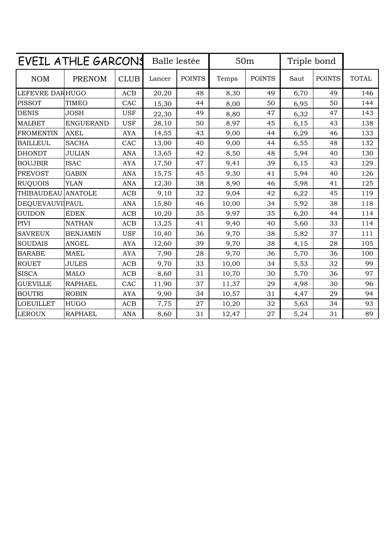| EVEIL ATHLE GARCONS    |                  |             | Balle lestée |               |       | 50 <sub>m</sub> | Triple bond |               |              |
|------------------------|------------------|-------------|--------------|---------------|-------|-----------------|-------------|---------------|--------------|
| <b>NOM</b>             | <b>PRENOM</b>    | <b>CLUB</b> | Lancer       | <b>POINTS</b> | Temps | <b>POINTS</b>   | Saut        | <b>POINTS</b> | <b>TOTAL</b> |
| LEFEVRE DARHUGO        |                  | ACB         | 20,20        | 48            | 8,30  | 49              | 6,70        | 49            | 146          |
| <b>PISSOT</b>          | <b>TIMEO</b>     | CAC         | 15,30        | 44            | 8,00  | 50              | 6,95        | 50            | 144          |
| <b>DENIS</b>           | <b>JOSH</b>      | <b>USF</b>  | 22,30        | 49            | 8,80  | 47              | 6,32        | 47            | 143          |
| <b>MALBET</b>          | <b>ENGUERAND</b> | <b>USF</b>  | 28,10        | 50            | 8,97  | 45              | 6,15        | 43            | 138          |
| <b>FROMENTIN</b>       | <b>AXEL</b>      | <b>AYA</b>  | 14,55        | 43            | 9,00  | 44              | 6,29        | 46            | 133          |
| <b>BAILLEUL</b>        | <b>SACHA</b>     | CAC         | 13,00        | 40            | 9,00  | 44              | 6,55        | 48            | 132          |
| <b>DHONDT</b>          | <b>JULIAN</b>    | ANA         | 13,65        | 42            | 8,50  | 48              | 5,94        | 40            | 130          |
| <b>BOUJBIR</b>         | <b>ISAC</b>      | <b>AYA</b>  | 17,50        | 47            | 9,41  | 39              | 6,15        | 43            | 129          |
| <b>PREVOST</b>         | <b>GABIN</b>     | <b>ANA</b>  | 15,75        | 45            | 9,30  | 41              | 5,94        | 40            | 126          |
| <b>RUQUOIS</b>         | <b>YLAN</b>      | <b>ANA</b>  | 12,30        | 38            | 8,90  | 46              | 5,98        | 41            | 125          |
| THIBAUDEAU ANATOLE     |                  | ACB         | 9,10         | 32            | 9,04  | 42              | 6,22        | 45            | 119          |
| <b>DEQUEVAUVI PAUL</b> |                  | <b>ANA</b>  | 15,80        | 46            | 10,00 | 34              | 5,92        | 38            | 118          |
| <b>GUIDON</b>          | <b>EDEN</b>      | ACB         | 10,20        | 35            | 9,97  | 35              | 6,20        | 44            | 114          |
| <b>PIVI</b>            | <b>NATHAN</b>    | ACB         | 13,25        | 41            | 9,40  | 40              | 5,60        | 33            | 114          |
| <b>SAVREUX</b>         | <b>BENJAMIN</b>  | <b>USF</b>  | 10,40        | 36            | 9,70  | 38              | 5,82        | 37            | 111          |
| <b>SOUDAIS</b>         | <b>ANGEL</b>     | <b>AYA</b>  | 12,60        | 39            | 9,70  | 38              | 4,15        | 28            | 105          |
| <b>BARABE</b>          | <b>MAEL</b>      | <b>AYA</b>  | 7,90         | 28            | 9,70  | 36              | 5,70        | 36            | 100          |
| <b>ROUET</b>           | <b>JULES</b>     | ACB         | 9,70         | 33            | 10,00 | 34              | 5,53        | 32            | 99           |
| <b>SISCA</b>           | <b>MALO</b>      | ACB         | 8,60         | 31            | 10,70 | 30              | 5,70        | 36            | 97           |
| <b>GUEVILLE</b>        | <b>RAPHAEL</b>   | CAC         | 11,90        | 37            | 11,37 | 29              | 4,98        | 30            | 96           |
| <b>BOUTRI</b>          | <b>ROBIN</b>     | <b>AYA</b>  | 9,90         | 34            | 10,57 | 31              | 4,47        | 29            | 94           |
| <b>LOEUILLET</b>       | <b>HUGO</b>      | ACB         | 7,75         | 27            | 10,20 | 32              | 5,63        | 34            | 93           |
| <b>LEROUX</b>          | <b>RAPHAEL</b>   | <b>ANA</b>  | 8,60         | 31            | 12,47 | 27              | 5,24        | 31            | 89           |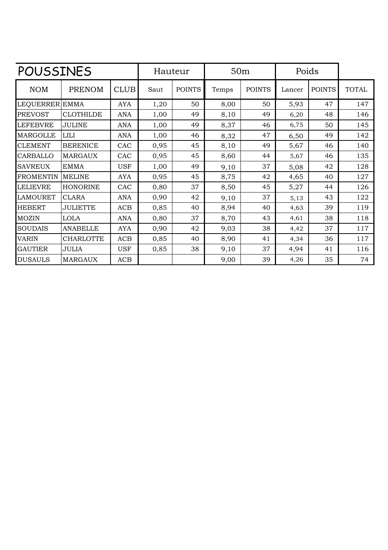| <b>POUSSINES</b> |                  |             | Hauteur |               |       | 50 <sub>m</sub> | Poids  |               |              |
|------------------|------------------|-------------|---------|---------------|-------|-----------------|--------|---------------|--------------|
| <b>NOM</b>       | <b>PRENOM</b>    | <b>CLUB</b> | Saut    | <b>POINTS</b> | Temps | <b>POINTS</b>   | Lancer | <b>POINTS</b> | <b>TOTAL</b> |
| LEQUERRER EMMA   |                  | <b>AYA</b>  | 1,20    | 50            | 8,00  | 50              | 5,93   | 47            | 147          |
| <b>PREVOST</b>   | <b>CLOTHILDE</b> | <b>ANA</b>  | 1,00    | 49            | 8,10  | 49              | 6,20   | 48            | 146          |
| <b>LEFEBVRE</b>  | <b>JULINE</b>    | <b>ANA</b>  | 1,00    | 49            | 8,37  | 46              | 6,75   | 50            | 145          |
| <b>MARGOLLE</b>  | <b>LILI</b>      | <b>ANA</b>  | 1,00    | 46            | 8,32  | 47              | 6,50   | 49            | 142          |
| <b>CLEMENT</b>   | <b>BERENICE</b>  | CAC         | 0,95    | 45            | 8,10  | 49              | 5,67   | 46            | 140          |
| <b>CARBALLO</b>  | <b>MARGAUX</b>   | CAC         | 0,95    | 45            | 8,60  | 44              | 5,67   | 46            | 135          |
| <b>SAVREUX</b>   | <b>EMMA</b>      | <b>USF</b>  | 1,00    | 49            | 9,10  | 37              | 5,08   | 42            | 128          |
| <b>FROMENTIN</b> | <b>MELINE</b>    | <b>AYA</b>  | 0,95    | 45            | 8,75  | 42              | 4,65   | 40            | 127          |
| <b>LELIEVRE</b>  | <b>HONORINE</b>  | CAC         | 0,80    | 37            | 8,50  | 45              | 5,27   | 44            | 126          |
| <b>LAMOURET</b>  | <b>CLARA</b>     | <b>ANA</b>  | 0,90    | 42            | 9,10  | 37              | 5,13   | 43            | 122          |
| <b>HEBERT</b>    | <b>JULIETTE</b>  | ACB         | 0,85    | 40            | 8,94  | 40              | 4,63   | 39            | 119          |
| <b>MOZIN</b>     | <b>LOLA</b>      | ANA         | 0,80    | 37            | 8,70  | 43              | 4,61   | 38            | 118          |
| <b>SOUDAIS</b>   | <b>ANABELLE</b>  | <b>AYA</b>  | 0,90    | 42            | 9,03  | 38              | 4,42   | 37            | 117          |
| <b>VARIN</b>     | <b>CHARLOTTE</b> | ACB         | 0,85    | 40            | 8,90  | 41              | 4,34   | 36            | 117          |
| <b>GAUTIER</b>   | <b>JULIA</b>     | <b>USF</b>  | 0,85    | 38            | 9,10  | 37              | 4,94   | 41            | 116          |
| <b>DUSAULS</b>   | <b>MARGAUX</b>   | ACB         |         |               | 9,00  | 39              | 4,26   | 35            | 74           |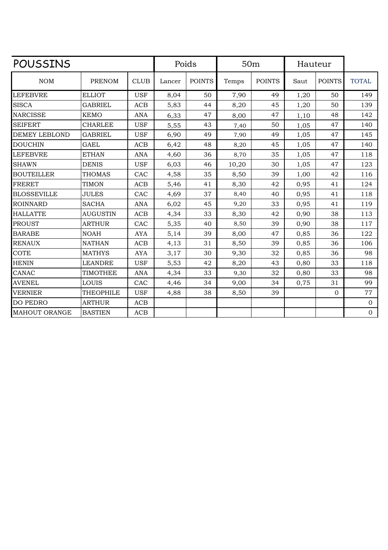| <b>POUSSINS</b>      |                  |             | Poids  |               |       | 50 <sub>m</sub> | Hauteur |                |                  |
|----------------------|------------------|-------------|--------|---------------|-------|-----------------|---------|----------------|------------------|
| <b>NOM</b>           | PRENOM           | <b>CLUB</b> | Lancer | <b>POINTS</b> | Temps | <b>POINTS</b>   | Saut    | <b>POINTS</b>  | <b>TOTAL</b>     |
| <b>LEFEBVRE</b>      | <b>ELLIOT</b>    | <b>USF</b>  | 8,04   | 50            | 7,90  | 49              | 1,20    | 50             | 149              |
| <b>SISCA</b>         | <b>GABRIEL</b>   | ACB         | 5,83   | 44            | 8,20  | 45              | 1,20    | 50             | 139              |
| <b>NARCISSE</b>      | <b>KEMO</b>      | ANA         | 6,33   | 47            | 8,00  | 47              | 1,10    | 48             | 142              |
| <b>SEIFERT</b>       | <b>CHARLEE</b>   | <b>USF</b>  | 5,55   | 43            | 7,40  | 50              | 1,05    | 47             | 140              |
| <b>DEMEY LEBLOND</b> | <b>GABRIEL</b>   | <b>USF</b>  | 6,90   | 49            | 7,90  | 49              | 1,05    | 47             | 145              |
| <b>DOUCHIN</b>       | <b>GAEL</b>      | ACB         | 6,42   | 48            | 8,20  | 45              | 1,05    | 47             | 140              |
| <b>LEFEBVRE</b>      | <b>ETHAN</b>     | ANA         | 4,60   | 36            | 8,70  | 35              | 1,05    | 47             | 118              |
| <b>SHAWN</b>         | <b>DENIS</b>     | <b>USF</b>  | 6,03   | 46            | 10,20 | 30              | 1,05    | 47             | 123              |
| <b>BOUTEILLER</b>    | <b>THOMAS</b>    | CAC         | 4,58   | 35            | 8,50  | 39              | 1,00    | 42             | 116              |
| <b>FRERET</b>        | <b>TIMON</b>     | ACB         | 5,46   | 41            | 8,30  | 42              | 0,95    | 41             | 124              |
| <b>BLOSSEVILLE</b>   | <b>JULES</b>     | CAC         | 4,69   | 37            | 8,40  | 40              | 0,95    | 41             | 118              |
| <b>ROINNARD</b>      | <b>SACHA</b>     | <b>ANA</b>  | 6,02   | 45            | 9,20  | 33              | 0,95    | 41             | 119              |
| <b>HALLATTE</b>      | <b>AUGUSTIN</b>  | ACB         | 4,34   | 33            | 8,30  | 42              | 0,90    | 38             | 113              |
| <b>PROUST</b>        | <b>ARTHUR</b>    | CAC         | 5,35   | 40            | 8,50  | 39              | 0,90    | 38             | 117              |
| <b>BARABE</b>        | <b>NOAH</b>      | <b>AYA</b>  | 5,14   | 39            | 8,00  | 47              | 0,85    | 36             | 122              |
| <b>RENAUX</b>        | <b>NATHAN</b>    | ACB         | 4,13   | 31            | 8,50  | 39              | 0,85    | 36             | 106              |
| <b>COTE</b>          | <b>MATHYS</b>    | <b>AYA</b>  | 3,17   | 30            | 9,30  | 32              | 0,85    | 36             | 98               |
| <b>HENIN</b>         | <b>LEANDRE</b>   | <b>USF</b>  | 5,53   | 42            | 8,20  | 43              | 0,80    | 33             | 118              |
| <b>CANAC</b>         | <b>TIMOTHEE</b>  | <b>ANA</b>  | 4,34   | 33            | 9,30  | 32              | 0,80    | 33             | 98               |
| <b>AVENEL</b>        | LOUIS            | CAC         | 4,46   | 34            | 9,00  | 34              | 0,75    | 31             | 99               |
| <b>VERNIER</b>       | <b>THEOPHILE</b> | <b>USF</b>  | 4,88   | 38            | 8,50  | 39              |         | $\overline{0}$ | 77               |
| <b>DO PEDRO</b>      | <b>ARTHUR</b>    | ACB         |        |               |       |                 |         |                | $\overline{0}$   |
| <b>MAHOUT ORANGE</b> | <b>BASTIEN</b>   | ACB         |        |               |       |                 |         |                | $\boldsymbol{0}$ |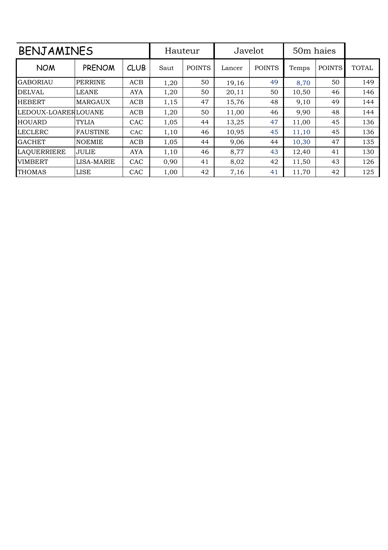| <b>BENJAMINES</b>   |                   |             | Hauteur |               | Javelot |               | 50 <sub>m</sub> haies |               |              |
|---------------------|-------------------|-------------|---------|---------------|---------|---------------|-----------------------|---------------|--------------|
| <b>NOM</b>          | <b>PRENOM</b>     | <b>CLUB</b> | Saut    | <b>POINTS</b> | Lancer  | <b>POINTS</b> | Temps                 | <b>POINTS</b> | <b>TOTAL</b> |
| <b>GABORIAU</b>     | <b>PERRINE</b>    | ACB         | 1,20    | 50            | 19,16   | 49            | 8,70                  | 50            | 149          |
| <b>DELVAL</b>       | <b>LEANE</b>      | <b>AYA</b>  | 1,20    | 50            | 20,11   | 50            | 10,50                 | 46            | 146          |
| <b>HEBERT</b>       | <b>MARGAUX</b>    | ACB         | 1,15    | 47            | 15,76   | 48            | 9,10                  | 49            | 144          |
| LEDOUX-LOARERLOUANE |                   | ACB         | 1,20    | 50            | 11,00   | 46            | 9,90                  | 48            | 144          |
| <b>HOUARD</b>       | <b>TYLIA</b>      | <b>CAC</b>  | 1,05    | 44            | 13,25   | 47            | 11,00                 | 45            | 136          |
| <b>LECLERC</b>      | <b>FAUSTINE</b>   | CAC         | 1,10    | 46            | 10,95   | 45            | 11,10                 | 45            | 136          |
| <b>GACHET</b>       | <b>NOEMIE</b>     | ACB         | 1,05    | 44            | 9,06    | 44            | 10,30                 | 47            | 135          |
| LAQUERRIERE         | <b>JULIE</b>      | <b>AYA</b>  | 1,10    | 46            | 8,77    | 43            | 12,40                 | 41            | 130          |
| <b>VIMBERT</b>      | <b>LISA-MARIE</b> | CAC         | 0,90    | 41            | 8,02    | 42            | 11,50                 | 43            | 126          |
| <b>THOMAS</b>       | <b>LISE</b>       | CAC         | 1,00    | 42            | 7,16    | 41            | 11,70                 | 42            | 125          |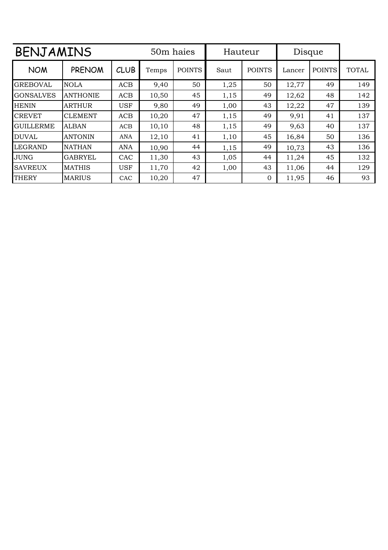| <b>BENJAMINS</b> |                 |             | 50 <sub>m</sub> haies |               | Hauteur |               | Disque |               |              |
|------------------|-----------------|-------------|-----------------------|---------------|---------|---------------|--------|---------------|--------------|
| <b>NOM</b>       | PRENOM          | <b>CLUB</b> | Temps                 | <b>POINTS</b> | Saut    | <b>POINTS</b> | Lancer | <b>POINTS</b> | <b>TOTAL</b> |
| <b>GREBOVAL</b>  | <b>NOLA</b>     | <b>ACB</b>  | 9,40                  | 50            | 1,25    | 50            | 12,77  | 49            | 149          |
| <b>GONSALVES</b> | <b>ANTHONIE</b> | ACB         | 10,50                 | 45            | 1,15    | 49            | 12,62  | 48            | 142          |
| <b>HENIN</b>     | <b>ARTHUR</b>   | <b>USF</b>  | 9,80                  | 49            | 1,00    | 43            | 12,22  | 47            | 139          |
| <b>CREVET</b>    | <b>CLEMENT</b>  | ACB         | 10,20                 | 47            | 1,15    | 49            | 9,91   | 41            | 137          |
| <b>GUILLERME</b> | <b>ALBAN</b>    | ACB         | 10,10                 | 48            | 1,15    | 49            | 9,63   | 40            | 137          |
| <b>DUVAL</b>     | <b>ANTONIN</b>  | ANA         | 12,10                 | 41            | 1,10    | 45            | 16,84  | 50            | 136          |
| <b>LEGRAND</b>   | <b>NATHAN</b>   | <b>ANA</b>  | 10,90                 | 44            | 1,15    | 49            | 10,73  | 43            | 136          |
| JUNG             | <b>GABRYEL</b>  | CAC         | 11,30                 | 43            | 1,05    | 44            | 11,24  | 45            | 132          |
| <b>SAVREUX</b>   | <b>MATHIS</b>   | <b>USF</b>  | 11,70                 | 42            | 1,00    | 43            | 11,06  | 44            | 129          |
| <b>THERY</b>     | <b>MARIUS</b>   | CAC         | 10,20                 | 47            |         | $\Omega$      | 11,95  | 46            | 93           |